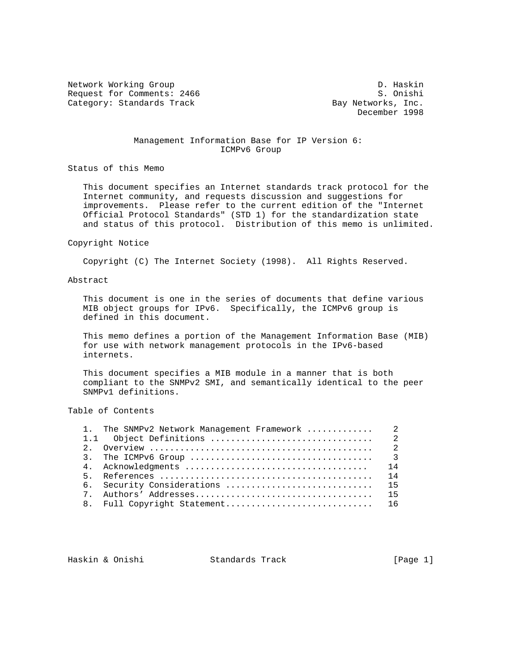Network Working Group D. Haskin Request for Comments: 2466 S. Onishi<br>Category: Standards Track Standards (Bay Networks, Inc. Category: Standards Track

December 1998

## Management Information Base for IP Version 6: ICMPv6 Group

Status of this Memo

 This document specifies an Internet standards track protocol for the Internet community, and requests discussion and suggestions for improvements. Please refer to the current edition of the "Internet Official Protocol Standards" (STD 1) for the standardization state and status of this protocol. Distribution of this memo is unlimited.

#### Copyright Notice

Copyright (C) The Internet Society (1998). All Rights Reserved.

### Abstract

 This document is one in the series of documents that define various MIB object groups for IPv6. Specifically, the ICMPv6 group is defined in this document.

 This memo defines a portion of the Management Information Base (MIB) for use with network management protocols in the IPv6-based internets.

 This document specifies a MIB module in a manner that is both compliant to the SNMPv2 SMI, and semantically identical to the peer SNMPv1 definitions.

Table of Contents

|   |                            | 14 |
|---|----------------------------|----|
|   |                            | 14 |
|   | 6. Security Considerations | 15 |
| 7 |                            | 15 |
|   |                            |    |
|   |                            |    |

Haskin & Onishi Standards Track [Page 1]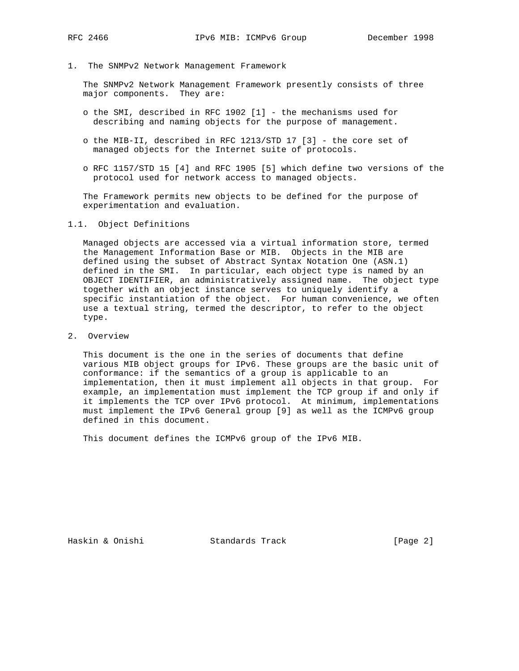1. The SNMPv2 Network Management Framework

 The SNMPv2 Network Management Framework presently consists of three major components. They are:

- o the SMI, described in RFC 1902 [1] the mechanisms used for describing and naming objects for the purpose of management.
- o the MIB-II, described in RFC 1213/STD 17 [3] the core set of managed objects for the Internet suite of protocols.
- o RFC 1157/STD 15 [4] and RFC 1905 [5] which define two versions of the protocol used for network access to managed objects.

 The Framework permits new objects to be defined for the purpose of experimentation and evaluation.

### 1.1. Object Definitions

 Managed objects are accessed via a virtual information store, termed the Management Information Base or MIB. Objects in the MIB are defined using the subset of Abstract Syntax Notation One (ASN.1) defined in the SMI. In particular, each object type is named by an OBJECT IDENTIFIER, an administratively assigned name. The object type together with an object instance serves to uniquely identify a specific instantiation of the object. For human convenience, we often use a textual string, termed the descriptor, to refer to the object type.

2. Overview

 This document is the one in the series of documents that define various MIB object groups for IPv6. These groups are the basic unit of conformance: if the semantics of a group is applicable to an implementation, then it must implement all objects in that group. For example, an implementation must implement the TCP group if and only if it implements the TCP over IPv6 protocol. At minimum, implementations must implement the IPv6 General group [9] as well as the ICMPv6 group defined in this document.

This document defines the ICMPv6 group of the IPv6 MIB.

Haskin & Onishi Standards Track [Page 2]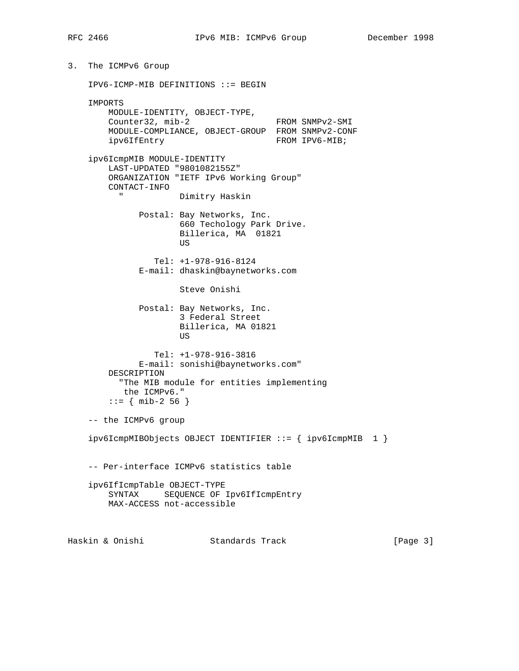3. The ICMPv6 Group IPV6-ICMP-MIB DEFINITIONS ::= BEGIN IMPORTS MODULE-IDENTITY, OBJECT-TYPE, Counter32, mib-2 FROM SNMPv2-SMI MODULE-COMPLIANCE, OBJECT-GROUP FROM SNMPv2-CONF ipv6IfEntry FROM IPV6-MIB; ipv6IcmpMIB MODULE-IDENTITY LAST-UPDATED "9801082155Z" ORGANIZATION "IETF IPv6 Working Group" CONTACT-INFO " Dimitry Haskin Postal: Bay Networks, Inc. 660 Techology Park Drive. Billerica, MA 01821 US DE L'ANNONCE DE L'ANNONCE DE L'ANNONCE DE L'ANNONCE DE L'ANNONCE DE L'ANNONCE DE L'ANNONCE DE L'ANNONCE DE Tel: +1-978-916-8124 E-mail: dhaskin@baynetworks.com Steve Onishi Postal: Bay Networks, Inc. 3 Federal Street Billerica, MA 01821 **US** *US US*  Tel: +1-978-916-3816 E-mail: sonishi@baynetworks.com" DESCRIPTION "The MIB module for entities implementing the ICMPv6." ::= { mib-2 56 } -- the ICMPv6 group ipv6IcmpMIBObjects OBJECT IDENTIFIER ::= { ipv6IcmpMIB 1 } -- Per-interface ICMPv6 statistics table ipv6IfIcmpTable OBJECT-TYPE SYNTAX SEQUENCE OF Ipv6IfIcmpEntry MAX-ACCESS not-accessible Haskin & Onishi Standards Track [Page 3]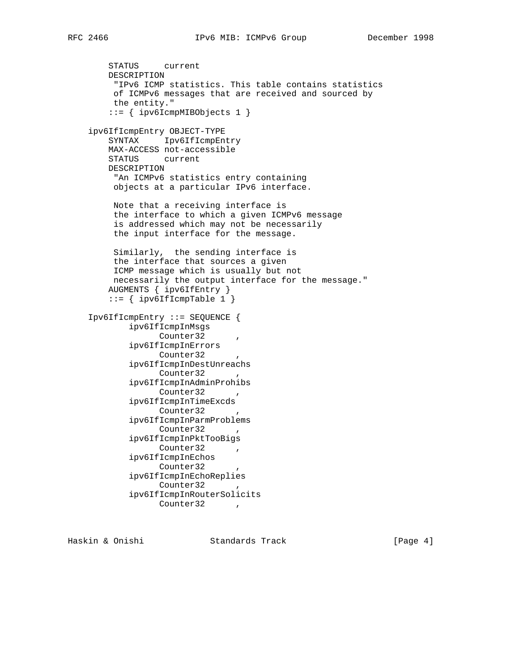```
 STATUS current
   DESCRIPTION
    "IPv6 ICMP statistics. This table contains statistics
    of ICMPv6 messages that are received and sourced by
    the entity."
   ::= { ipv6IcmpMIBObjects 1 }
ipv6IfIcmpEntry OBJECT-TYPE
   SYNTAX Ipv6IfIcmpEntry
   MAX-ACCESS not-accessible
   STATUS current
   DESCRIPTION
    "An ICMPv6 statistics entry containing
    objects at a particular IPv6 interface.
    Note that a receiving interface is
    the interface to which a given ICMPv6 message
    is addressed which may not be necessarily
    the input interface for the message.
    Similarly, the sending interface is
    the interface that sources a given
    ICMP message which is usually but not
    necessarily the output interface for the message."
   AUGMENTS { ipv6IfEntry }
  ::= { ipv6IfIcmpTable 1 }
Ipv6IfIcmpEntry ::= SEQUENCE {
       ipv6IfIcmpInMsgs
            Counter32
       ipv6IfIcmpInErrors
            Counter32
       ipv6IfIcmpInDestUnreachs
            Counter32,
       ipv6IfIcmpInAdminProhibs
            Counter32,
       ipv6IfIcmpInTimeExcds
            Counter32,
       ipv6IfIcmpInParmProblems
            Counter32,
       ipv6IfIcmpInPktTooBigs
            Counter32,
       ipv6IfIcmpInEchos
            Counter32
       ipv6IfIcmpInEchoReplies
            Counter32,
       ipv6IfIcmpInRouterSolicits
            Counter32,
```
Haskin & Onishi Standards Track [Page 4]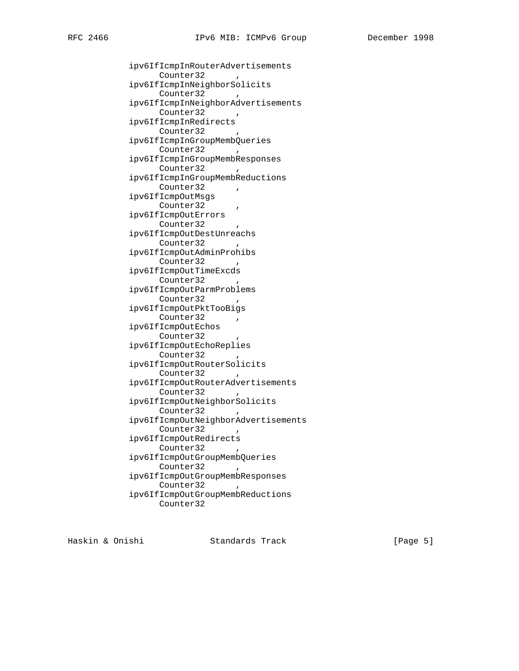ipv6IfIcmpInRouterAdvertisements

Counter32, ipv6IfIcmpInNeighborSolicits Counter32, ipv6IfIcmpInNeighborAdvertisements Counter32 ipv6IfIcmpInRedirects Counter32 ipv6IfIcmpInGroupMembQueries Counter32, ipv6IfIcmpInGroupMembResponses Counter32, ipv6IfIcmpInGroupMembReductions Counter32 , ipv6IfIcmpOutMsgs Counter32, ipv6IfIcmpOutErrors Counter32, ipv6IfIcmpOutDestUnreachs Counter32, ipv6IfIcmpOutAdminProhibs Counter32, ipv6IfIcmpOutTimeExcds Counter32, ipv6IfIcmpOutParmProblems Counter32, ipv6IfIcmpOutPktTooBigs Counter32, ipv6IfIcmpOutEchos Counter32 ipv6IfIcmpOutEchoReplies Counter32 ipv6IfIcmpOutRouterSolicits Counter32 ipv6IfIcmpOutRouterAdvertisements Counter32 ipv6IfIcmpOutNeighborSolicits Counter32 ipv6IfIcmpOutNeighborAdvertisements Counter32, ipv6IfIcmpOutRedirects Counter32, ipv6IfIcmpOutGroupMembQueries Counter32, ipv6IfIcmpOutGroupMembResponses Counter32, ipv6IfIcmpOutGroupMembReductions Counter32

Haskin & Onishi Standards Track [Page 5]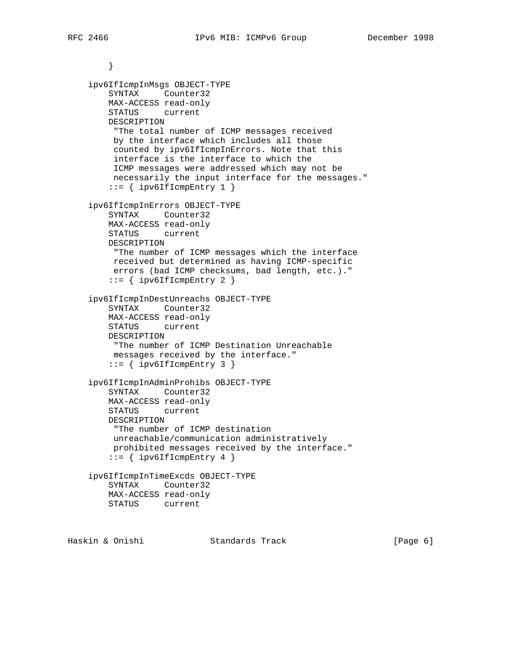} ipv6IfIcmpInMsgs OBJECT-TYPE SYNTAX Counter32 MAX-ACCESS read-only STATUS current DESCRIPTION "The total number of ICMP messages received by the interface which includes all those counted by ipv6IfIcmpInErrors. Note that this interface is the interface to which the ICMP messages were addressed which may not be necessarily the input interface for the messages."  $::=$  { ipv6IfIcmpEntry 1 } ipv6IfIcmpInErrors OBJECT-TYPE SYNTAX Counter32 MAX-ACCESS read-only STATUS current DESCRIPTION "The number of ICMP messages which the interface received but determined as having ICMP-specific errors (bad ICMP checksums, bad length, etc.)."  $::=$  { ipv6IfIcmpEntry 2 } ipv6IfIcmpInDestUnreachs OBJECT-TYPE SYNTAX Counter32 MAX-ACCESS read-only STATUS current DESCRIPTION "The number of ICMP Destination Unreachable messages received by the interface." ::= { ipv6IfIcmpEntry 3 } ipv6IfIcmpInAdminProhibs OBJECT-TYPE SYNTAX Counter32 MAX-ACCESS read-only STATUS current DESCRIPTION "The number of ICMP destination unreachable/communication administratively prohibited messages received by the interface."  $::=$  { ipv6IfIcmpEntry 4 } ipv6IfIcmpInTimeExcds OBJECT-TYPE SYNTAX Counter32 MAX-ACCESS read-only STATUS current

Haskin & Onishi Standards Track [Page 6]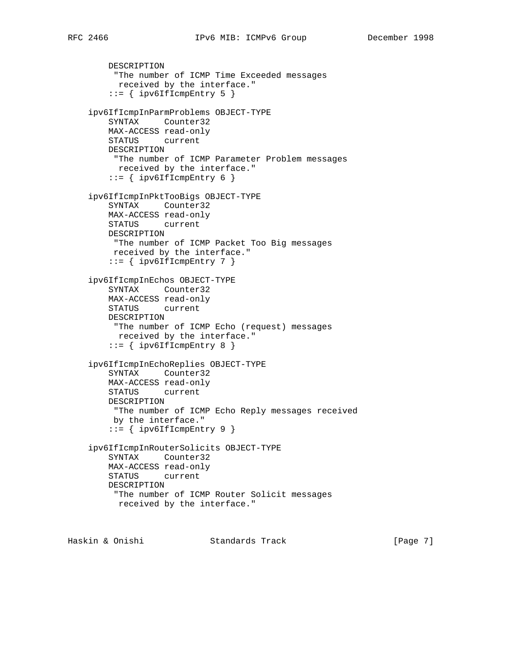```
 DESCRIPTION
    "The number of ICMP Time Exceeded messages
     received by the interface."
   ::= { ipv6IfIcmpEntry 5 }
ipv6IfIcmpInParmProblems OBJECT-TYPE
   SYNTAX Counter32
   MAX-ACCESS read-only
   STATUS current
   DESCRIPTION
    "The number of ICMP Parameter Problem messages
     received by the interface."
```

```
::= { ipv6IfIcmpEntry 6 }
```

```
 ipv6IfIcmpInPktTooBigs OBJECT-TYPE
   SYNTAX Counter32
   MAX-ACCESS read-only
   STATUS current
   DESCRIPTION
    "The number of ICMP Packet Too Big messages
    received by the interface."
   ::= { ipv6IfIcmpEntry 7 }
```

```
 ipv6IfIcmpInEchos OBJECT-TYPE
   SYNTAX Counter32
   MAX-ACCESS read-only
   STATUS current
   DESCRIPTION
    "The number of ICMP Echo (request) messages
     received by the interface."
   ::= { ipv6IfIcmpEntry 8 }
```

```
 ipv6IfIcmpInEchoReplies OBJECT-TYPE
   SYNTAX Counter32
   MAX-ACCESS read-only
   STATUS current
   DESCRIPTION
    "The number of ICMP Echo Reply messages received
    by the interface."
   ::= { ipv6IfIcmpEntry 9 }
```

```
 ipv6IfIcmpInRouterSolicits OBJECT-TYPE
   SYNTAX Counter32
   MAX-ACCESS read-only
   STATUS current
   DESCRIPTION
    "The number of ICMP Router Solicit messages
     received by the interface."
```
Haskin & Onishi Standards Track [Page 7]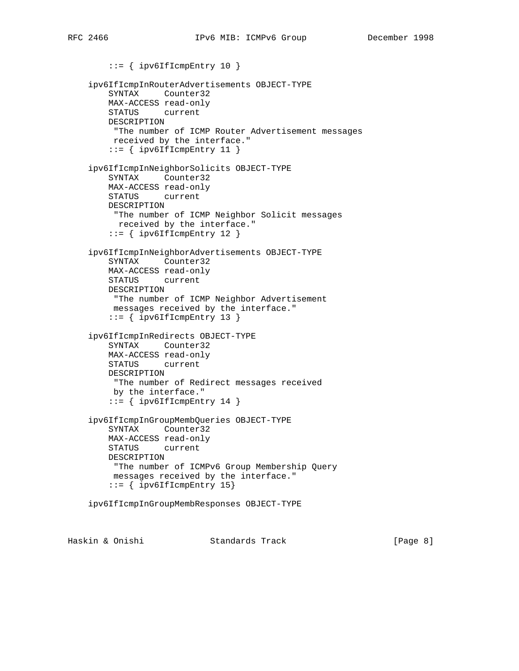```
 ::= { ipv6IfIcmpEntry 10 }
ipv6IfIcmpInRouterAdvertisements OBJECT-TYPE
   SYNTAX Counter32
   MAX-ACCESS read-only
   STATUS current
   DESCRIPTION
    "The number of ICMP Router Advertisement messages
    received by the interface."
    ::= { ipv6IfIcmpEntry 11 }
ipv6IfIcmpInNeighborSolicits OBJECT-TYPE
   SYNTAX Counter32
   MAX-ACCESS read-only
   STATUS current
   DESCRIPTION
    "The number of ICMP Neighbor Solicit messages
     received by the interface."
    ::= { ipv6IfIcmpEntry 12 }
ipv6IfIcmpInNeighborAdvertisements OBJECT-TYPE
   SYNTAX Counter32
   MAX-ACCESS read-only
   STATUS current
   DESCRIPTION
    "The number of ICMP Neighbor Advertisement
    messages received by the interface."
   ::= { ipv6IfIcmpEntry 13 }
ipv6IfIcmpInRedirects OBJECT-TYPE
   SYNTAX Counter32
   MAX-ACCESS read-only
   STATUS current
   DESCRIPTION
    "The number of Redirect messages received
    by the interface."
    ::= { ipv6IfIcmpEntry 14 }
ipv6IfIcmpInGroupMembQueries OBJECT-TYPE
   SYNTAX Counter32
   MAX-ACCESS read-only
   STATUS current
   DESCRIPTION
    "The number of ICMPv6 Group Membership Query
    messages received by the interface."
    ::= { ipv6IfIcmpEntry 15}
ipv6IfIcmpInGroupMembResponses OBJECT-TYPE
```
Haskin & Onishi Standards Track [Page 8]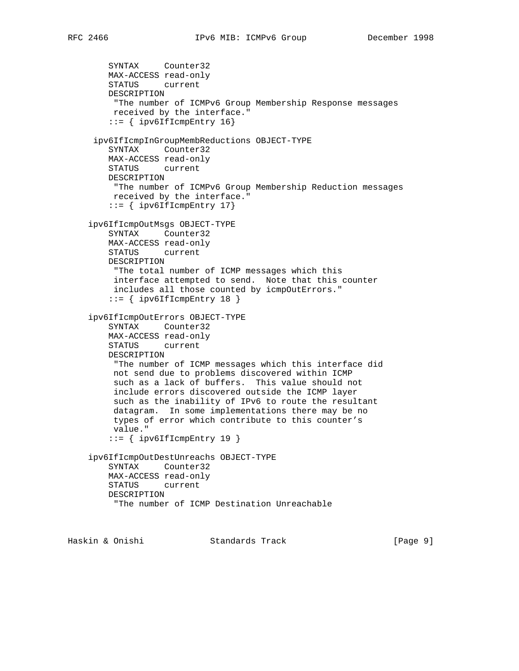```
 SYNTAX Counter32
   MAX-ACCESS read-only
   STATUS current
   DESCRIPTION
    "The number of ICMPv6 Group Membership Response messages
    received by the interface."
    ::= { ipv6IfIcmpEntry 16}
 ipv6IfIcmpInGroupMembReductions OBJECT-TYPE
   SYNTAX Counter32
   MAX-ACCESS read-only
   STATUS current
   DESCRIPTION
    "The number of ICMPv6 Group Membership Reduction messages
    received by the interface."
   ::= { ipv6IfIcmpEntry 17}
ipv6IfIcmpOutMsgs OBJECT-TYPE
   SYNTAX Counter32
   MAX-ACCESS read-only
   STATUS current
   DESCRIPTION
    "The total number of ICMP messages which this
    interface attempted to send. Note that this counter
    includes all those counted by icmpOutErrors."
   ::= { ipv6IfIcmpEntry 18 }
ipv6IfIcmpOutErrors OBJECT-TYPE
   SYNTAX Counter32
   MAX-ACCESS read-only
   STATUS current
   DESCRIPTION
    "The number of ICMP messages which this interface did
    not send due to problems discovered within ICMP
    such as a lack of buffers. This value should not
    include errors discovered outside the ICMP layer
    such as the inability of IPv6 to route the resultant
    datagram. In some implementations there may be no
    types of error which contribute to this counter's
    value."
    ::= { ipv6IfIcmpEntry 19 }
ipv6IfIcmpOutDestUnreachs OBJECT-TYPE
   SYNTAX Counter32
   MAX-ACCESS read-only
   STATUS current
   DESCRIPTION
     "The number of ICMP Destination Unreachable
```
Haskin & Onishi Standards Track [Page 9]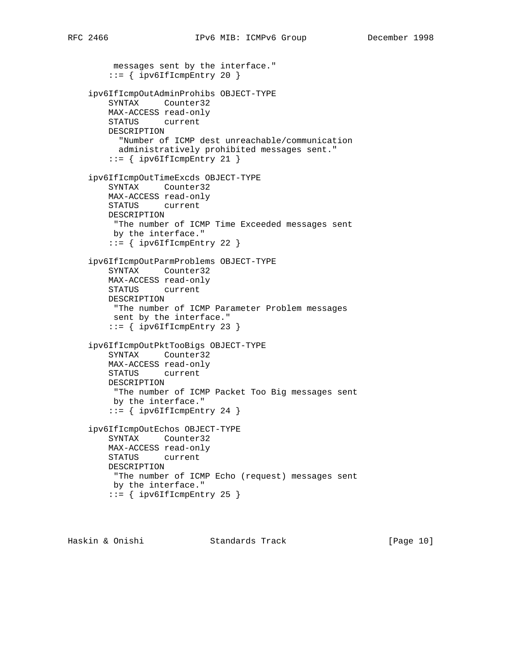```
 messages sent by the interface."
   ::= { ipv6IfIcmpEntry 20 }
ipv6IfIcmpOutAdminProhibs OBJECT-TYPE
   SYNTAX Counter32
   MAX-ACCESS read-only
   STATUS current
   DESCRIPTION
     "Number of ICMP dest unreachable/communication
     administratively prohibited messages sent."
   ::= { ipv6IfIcmpEntry 21 }
ipv6IfIcmpOutTimeExcds OBJECT-TYPE
   SYNTAX Counter32
   MAX-ACCESS read-only
   STATUS current
   DESCRIPTION
    "The number of ICMP Time Exceeded messages sent
    by the interface."
   ::= { ipv6IfIcmpEntry 22 }
ipv6IfIcmpOutParmProblems OBJECT-TYPE
   SYNTAX Counter32
   MAX-ACCESS read-only
   STATUS current
   DESCRIPTION
    "The number of ICMP Parameter Problem messages
    sent by the interface."
    ::= { ipv6IfIcmpEntry 23 }
ipv6IfIcmpOutPktTooBigs OBJECT-TYPE
   SYNTAX Counter32
   MAX-ACCESS read-only
   STATUS current
   DESCRIPTION
    "The number of ICMP Packet Too Big messages sent
    by the interface."
   ::= { ipv6IfIcmpEntry 24 }
ipv6IfIcmpOutEchos OBJECT-TYPE
   SYNTAX Counter32
   MAX-ACCESS read-only
   STATUS current
   DESCRIPTION
    "The number of ICMP Echo (request) messages sent
    by the interface."
```
Haskin & Onishi Standards Track [Page 10]

 $::=$  { ipv6IfIcmpEntry 25 }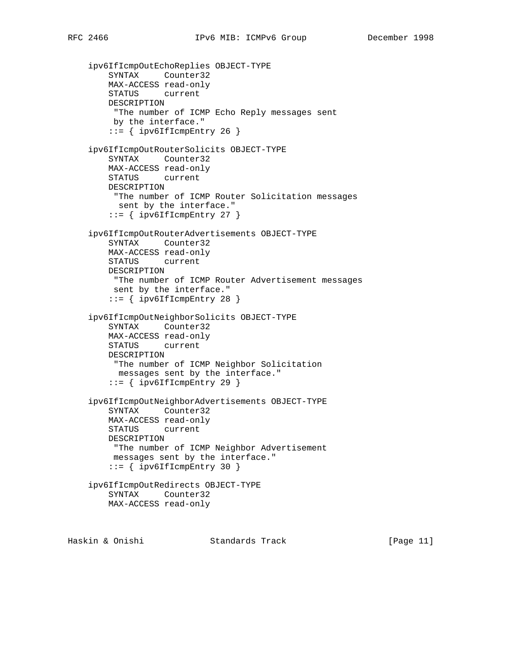```
 ipv6IfIcmpOutEchoReplies OBJECT-TYPE
   SYNTAX Counter32
   MAX-ACCESS read-only
   STATUS current
   DESCRIPTION
    "The number of ICMP Echo Reply messages sent
    by the interface."
   ::= { ipv6IfIcmpEntry 26 }
ipv6IfIcmpOutRouterSolicits OBJECT-TYPE
   SYNTAX Counter32
   MAX-ACCESS read-only
   STATUS current
   DESCRIPTION
    "The number of ICMP Router Solicitation messages
     sent by the interface."
   ::= { ipv6IfIcmpEntry 27 }
ipv6IfIcmpOutRouterAdvertisements OBJECT-TYPE
   SYNTAX Counter32
   MAX-ACCESS read-only
   STATUS current
   DESCRIPTION
    "The number of ICMP Router Advertisement messages
    sent by the interface."
   ::= { ipv6IfIcmpEntry 28 }
ipv6IfIcmpOutNeighborSolicits OBJECT-TYPE
   SYNTAX Counter32
   MAX-ACCESS read-only
   STATUS current
   DESCRIPTION
    "The number of ICMP Neighbor Solicitation
    messages sent by the interface."
   ::= { ipv6IfIcmpEntry 29 }
ipv6IfIcmpOutNeighborAdvertisements OBJECT-TYPE
   SYNTAX Counter32
   MAX-ACCESS read-only
   STATUS current
   DESCRIPTION
    "The number of ICMP Neighbor Advertisement
    messages sent by the interface."
   ::= { ipv6IfIcmpEntry 30 }
ipv6IfIcmpOutRedirects OBJECT-TYPE
   SYNTAX Counter32
   MAX-ACCESS read-only
```
Haskin & Onishi Standards Track [Page 11]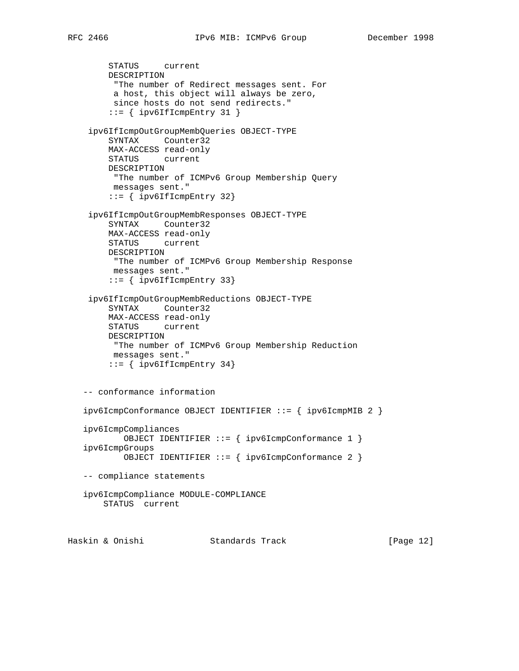```
 STATUS current
    DESCRIPTION
      "The number of Redirect messages sent. For
     a host, this object will always be zero,
     since hosts do not send redirects."
    ::= { ipv6IfIcmpEntry 31 }
 ipv6IfIcmpOutGroupMembQueries OBJECT-TYPE
     SYNTAX Counter32
    MAX-ACCESS read-only
    STATUS current
    DESCRIPTION
     "The number of ICMPv6 Group Membership Query
     messages sent."
    ::= { ipv6IfIcmpEntry 32}
 ipv6IfIcmpOutGroupMembResponses OBJECT-TYPE
    SYNTAX Counter32
    MAX-ACCESS read-only
    STATUS current
    DESCRIPTION
     "The number of ICMPv6 Group Membership Response
     messages sent."
     ::= { ipv6IfIcmpEntry 33}
 ipv6IfIcmpOutGroupMembReductions OBJECT-TYPE
     SYNTAX Counter32
    MAX-ACCESS read-only
    STATUS current
    DESCRIPTION
     "The number of ICMPv6 Group Membership Reduction
     messages sent."
    ::= { ipv6IfIcmpEntry 34}
-- conformance information
ipv6IcmpConformance OBJECT IDENTIFIER ::= { ipv6IcmpMIB 2 }
ipv6IcmpCompliances
       OBJECT IDENTIFIER ::= { ipv6IcmpConformance 1 }
ipv6IcmpGroups
       OBJECT IDENTIFIER ::= { ipv6IcmpConformance 2 }
-- compliance statements
ipv6IcmpCompliance MODULE-COMPLIANCE
   STATUS current
```
Haskin & Onishi Standards Track [Page 12]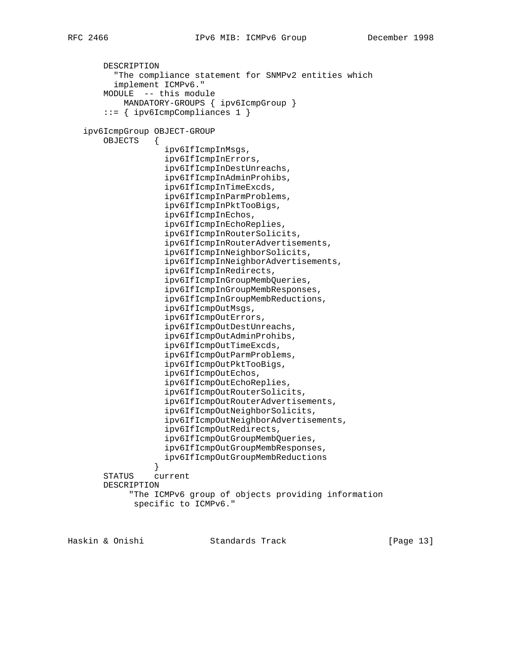```
 DESCRIPTION
         "The compliance statement for SNMPv2 entities which
         implement ICMPv6."
       MODULE -- this module
           MANDATORY-GROUPS { ipv6IcmpGroup }
       ::= { ipv6IcmpCompliances 1 }
  ipv6IcmpGroup OBJECT-GROUP
       OBJECTS {
                   ipv6IfIcmpInMsgs,
                   ipv6IfIcmpInErrors,
                   ipv6IfIcmpInDestUnreachs,
                   ipv6IfIcmpInAdminProhibs,
                   ipv6IfIcmpInTimeExcds,
                   ipv6IfIcmpInParmProblems,
                   ipv6IfIcmpInPktTooBigs,
                   ipv6IfIcmpInEchos,
                   ipv6IfIcmpInEchoReplies,
                   ipv6IfIcmpInRouterSolicits,
                   ipv6IfIcmpInRouterAdvertisements,
                   ipv6IfIcmpInNeighborSolicits,
                   ipv6IfIcmpInNeighborAdvertisements,
                   ipv6IfIcmpInRedirects,
                   ipv6IfIcmpInGroupMembQueries,
                   ipv6IfIcmpInGroupMembResponses,
                   ipv6IfIcmpInGroupMembReductions,
                   ipv6IfIcmpOutMsgs,
                   ipv6IfIcmpOutErrors,
                   ipv6IfIcmpOutDestUnreachs,
                   ipv6IfIcmpOutAdminProhibs,
                   ipv6IfIcmpOutTimeExcds,
                   ipv6IfIcmpOutParmProblems,
                   ipv6IfIcmpOutPktTooBigs,
                   ipv6IfIcmpOutEchos,
                   ipv6IfIcmpOutEchoReplies,
                   ipv6IfIcmpOutRouterSolicits,
                   ipv6IfIcmpOutRouterAdvertisements,
                   ipv6IfIcmpOutNeighborSolicits,
                   ipv6IfIcmpOutNeighborAdvertisements,
                   ipv6IfIcmpOutRedirects,
                   ipv6IfIcmpOutGroupMembQueries,
                   ipv6IfIcmpOutGroupMembResponses,
                 ipv6IfIcmpOutGroupMembReductions
}
       STATUS current
       DESCRIPTION
            "The ICMPv6 group of objects providing information
             specific to ICMPv6."
```
Haskin & Onishi Standards Track [Page 13]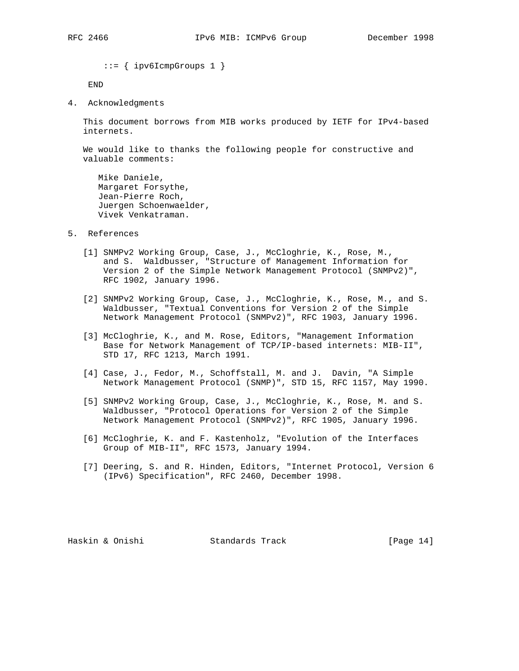::= { ipv6IcmpGroups 1 }

END

4. Acknowledgments

 This document borrows from MIB works produced by IETF for IPv4-based internets.

 We would like to thanks the following people for constructive and valuable comments:

 Mike Daniele, Margaret Forsythe, Jean-Pierre Roch, Juergen Schoenwaelder, Vivek Venkatraman.

- 5. References
	- [1] SNMPv2 Working Group, Case, J., McCloghrie, K., Rose, M., and S. Waldbusser, "Structure of Management Information for Version 2 of the Simple Network Management Protocol (SNMPv2)", RFC 1902, January 1996.
	- [2] SNMPv2 Working Group, Case, J., McCloghrie, K., Rose, M., and S. Waldbusser, "Textual Conventions for Version 2 of the Simple Network Management Protocol (SNMPv2)", RFC 1903, January 1996.
	- [3] McCloghrie, K., and M. Rose, Editors, "Management Information Base for Network Management of TCP/IP-based internets: MIB-II", STD 17, RFC 1213, March 1991.
	- [4] Case, J., Fedor, M., Schoffstall, M. and J. Davin, "A Simple Network Management Protocol (SNMP)", STD 15, RFC 1157, May 1990.
	- [5] SNMPv2 Working Group, Case, J., McCloghrie, K., Rose, M. and S. Waldbusser, "Protocol Operations for Version 2 of the Simple Network Management Protocol (SNMPv2)", RFC 1905, January 1996.
	- [6] McCloghrie, K. and F. Kastenholz, "Evolution of the Interfaces Group of MIB-II", RFC 1573, January 1994.
	- [7] Deering, S. and R. Hinden, Editors, "Internet Protocol, Version 6 (IPv6) Specification", RFC 2460, December 1998.

Haskin & Onishi Standards Track [Page 14]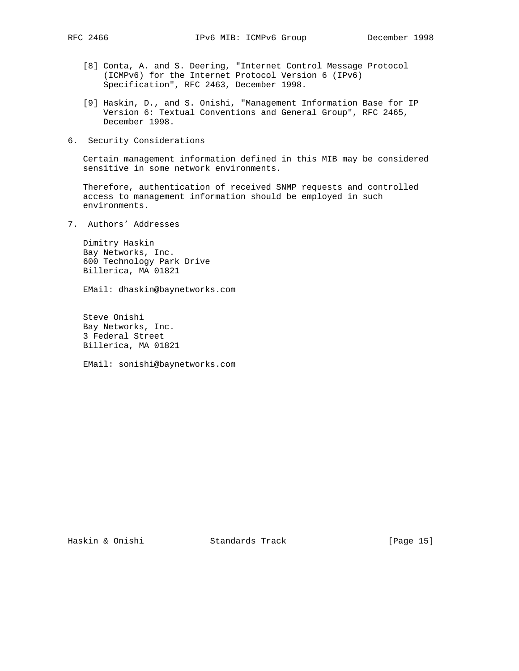- - [8] Conta, A. and S. Deering, "Internet Control Message Protocol (ICMPv6) for the Internet Protocol Version 6 (IPv6) Specification", RFC 2463, December 1998.
	- [9] Haskin, D., and S. Onishi, "Management Information Base for IP Version 6: Textual Conventions and General Group", RFC 2465, December 1998.
- 6. Security Considerations

 Certain management information defined in this MIB may be considered sensitive in some network environments.

 Therefore, authentication of received SNMP requests and controlled access to management information should be employed in such environments.

7. Authors' Addresses

 Dimitry Haskin Bay Networks, Inc. 600 Technology Park Drive Billerica, MA 01821

EMail: dhaskin@baynetworks.com

 Steve Onishi Bay Networks, Inc. 3 Federal Street Billerica, MA 01821

EMail: sonishi@baynetworks.com

Haskin & Onishi Standards Track [Page 15]